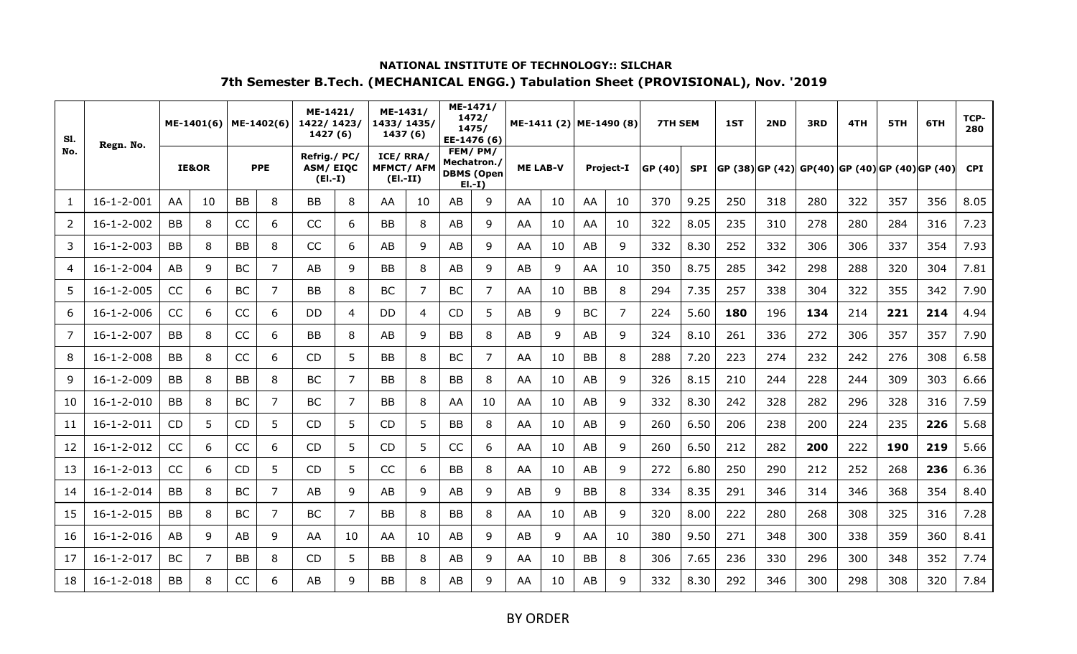| <b>S1.</b>     | Regn. No.          |           | ME-1401(6)       |           | ME-1402(6) | ME-1421/<br>1422/1423/<br>1427 (6)          |    | ME-1431/<br>1433/1435/<br>1437 (6)         |    |    | ME-1471/<br>1472/<br>1475/<br>EE-1476 (6)              |    | ME-1411 (2) ME-1490 (8) |           |                  | <b>7TH SEM</b> |            | 1ST | 2ND | 3RD                                                | 4TH | 5TH | 6TH | TCP-<br>280 |
|----------------|--------------------|-----------|------------------|-----------|------------|---------------------------------------------|----|--------------------------------------------|----|----|--------------------------------------------------------|----|-------------------------|-----------|------------------|----------------|------------|-----|-----|----------------------------------------------------|-----|-----|-----|-------------|
| No.            |                    |           | <b>IE&amp;OR</b> |           | <b>PPE</b> | Refrig./PC/<br><b>ASM/EIQC</b><br>$(EI.-I)$ |    | ICE/RRA/<br><b>MFMCT/AFM</b><br>$(EI.-II)$ |    |    | FEM/PM/<br>Mechatron./<br><b>DBMS (Open</b><br>$E[-1]$ |    | <b>ME LAB-V</b>         |           | <b>Project-I</b> | GP (40)        | <b>SPI</b> |     |     | $ GP (38) GP (42) GP(40) GP (40) GP (40) GP (40) $ |     |     |     | <b>CPI</b>  |
| 1              | $16 - 1 - 2 - 001$ | AA        | 10               | <b>BB</b> | 8          | BB                                          | 8  | AA                                         | 10 | AB | 9                                                      | AA | 10                      | AA        | 10               | 370            | 9.25       | 250 | 318 | 280                                                | 322 | 357 | 356 | 8.05        |
| $\overline{2}$ | $16 - 1 - 2 - 002$ | BB        | 8                | CC        | 6          | CC                                          | 6  | <b>BB</b>                                  | 8  | AB | 9                                                      | AA | 10                      | AA        | 10               | 322            | 8.05       | 235 | 310 | 278                                                | 280 | 284 | 316 | 7.23        |
| 3              | $16 - 1 - 2 - 003$ | <b>BB</b> | 8                | <b>BB</b> | 8          | CC                                          | 6  | AB                                         | 9  | AB | 9                                                      | AA | 10                      | AB        | 9                | 332            | 8.30       | 252 | 332 | 306                                                | 306 | 337 | 354 | 7.93        |
| 4              | $16 - 1 - 2 - 004$ | AB        | 9                | <b>BC</b> | 7          | AB                                          | 9  | BB                                         | 8  | AB | 9                                                      | AB | 9                       | AA        | 10               | 350            | 8.75       | 285 | 342 | 298                                                | 288 | 320 | 304 | 7.81        |
| 5              | $16 - 1 - 2 - 005$ | CC        | 6                | <b>BC</b> | 7          | BB                                          | 8  | <b>BC</b>                                  | 7  | ВC | 7                                                      | AA | 10                      | BB        | 8                | 294            | 7.35       | 257 | 338 | 304                                                | 322 | 355 | 342 | 7.90        |
| 6              | $16 - 1 - 2 - 006$ | CC        | 6                | CC        | 6          | DD                                          | 4  | DD                                         | 4  | CD | 5                                                      | AB | 9                       | <b>BC</b> | $\overline{7}$   | 224            | 5.60       | 180 | 196 | 134                                                | 214 | 221 | 214 | 4.94        |
| 7              | $16 - 1 - 2 - 007$ | <b>BB</b> | 8                | CC        | 6          | <b>BB</b>                                   | 8  | AB                                         | 9  | BB | 8                                                      | AB | 9                       | AB        | 9                | 324            | 8.10       | 261 | 336 | 272                                                | 306 | 357 | 357 | 7.90        |
| 8              | $16 - 1 - 2 - 008$ | <b>BB</b> | 8                | CC        | 6          | CD                                          | 5  | BB                                         | 8  | BC | 7                                                      | AA | 10                      | <b>BB</b> | 8                | 288            | 7.20       | 223 | 274 | 232                                                | 242 | 276 | 308 | 6.58        |
| 9              | $16 - 1 - 2 - 009$ | BB        | 8                | <b>BB</b> | 8          | BC                                          | 7  | <b>BB</b>                                  | 8  | BB | 8                                                      | AA | 10                      | AB        | 9                | 326            | 8.15       | 210 | 244 | 228                                                | 244 | 309 | 303 | 6.66        |
| 10             | $16 - 1 - 2 - 010$ | <b>BB</b> | 8                | <b>BC</b> | 7          | <b>BC</b>                                   | 7  | <b>BB</b>                                  | 8  | AA | 10                                                     | AA | 10                      | AB        | 9                | 332            | 8.30       | 242 | 328 | 282                                                | 296 | 328 | 316 | 7.59        |
| 11             | $16 - 1 - 2 - 011$ | <b>CD</b> | 5                | <b>CD</b> | 5          | <b>CD</b>                                   | 5  | <b>CD</b>                                  | 5  | ВB | 8                                                      | AA | 10                      | AB        | 9                | 260            | 6.50       | 206 | 238 | 200                                                | 224 | 235 | 226 | 5.68        |
| 12             | $16 - 1 - 2 - 012$ | CC        | 6                | CC        | 6          | <b>CD</b>                                   | 5  | CD                                         | 5  | CC | 6                                                      | AA | 10                      | AB        | 9                | 260            | 6.50       | 212 | 282 | 200                                                | 222 | 190 | 219 | 5.66        |
| 13             | $16 - 1 - 2 - 013$ | CC        | 6                | <b>CD</b> | 5          | <b>CD</b>                                   | 5  | CC                                         | 6  | BB | 8                                                      | AA | 10                      | AB        | 9                | 272            | 6.80       | 250 | 290 | 212                                                | 252 | 268 | 236 | 6.36        |
| 14             | $16 - 1 - 2 - 014$ | <b>BB</b> | 8                | <b>BC</b> | 7          | AB                                          | 9  | AB                                         | 9  | AB | 9                                                      | AB | 9                       | BB        | 8                | 334            | 8.35       | 291 | 346 | 314                                                | 346 | 368 | 354 | 8.40        |
| 15             | $16 - 1 - 2 - 015$ | BB        | 8                | <b>BC</b> | 7          | BC                                          | 7  | BB                                         | 8  | ВB | 8                                                      | AA | 10                      | AB        | 9                | 320            | 8.00       | 222 | 280 | 268                                                | 308 | 325 | 316 | 7.28        |
| 16             | $16 - 1 - 2 - 016$ | AB        | 9                | AB        | 9          | AA                                          | 10 | AA                                         | 10 | AB | 9                                                      | AB | 9                       | AA        | 10               | 380            | 9.50       | 271 | 348 | 300                                                | 338 | 359 | 360 | 8.41        |
| 17             | $16 - 1 - 2 - 017$ | <b>BC</b> | $\overline{7}$   | <b>BB</b> | 8          | CD                                          | 5  | BB                                         | 8  | AB | 9                                                      | AA | 10                      | <b>BB</b> | 8                | 306            | 7.65       | 236 | 330 | 296                                                | 300 | 348 | 352 | 7.74        |
| 18             | $16 - 1 - 2 - 018$ | <b>BB</b> | 8                | CC        | 6          | AB                                          | q  | <b>BB</b>                                  | 8  | AB | 9                                                      | AA | 10                      | AB        | 9                | 332            | 8.30       | 292 | 346 | 300                                                | 298 | 308 | 320 | 7.84        |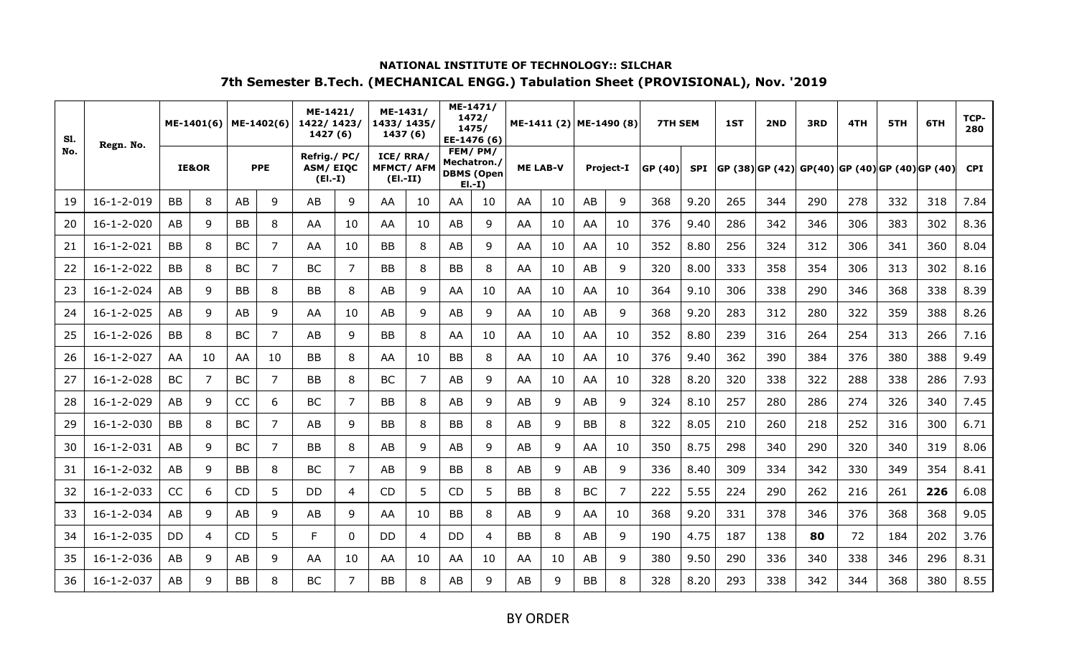| S1. | Regn. No.          |           | ME-1401(6)     |           | ME-1402(6) | ME-1421/<br>1422/1423/<br>1427 (6)   |          | ME-1431/<br>1433/1435/<br>1437 (6)         |                |           | ME-1471/<br>1472/<br>1475/<br>EE-1476 (6)              |           | ME-1411 (2) ME-1490 (8) |           |                  | <b>7TH SEM</b> |            | 1ST                                                | 2ND | 3RD | 4TH | 5TH | 6TH | TCP-<br>280 |
|-----|--------------------|-----------|----------------|-----------|------------|--------------------------------------|----------|--------------------------------------------|----------------|-----------|--------------------------------------------------------|-----------|-------------------------|-----------|------------------|----------------|------------|----------------------------------------------------|-----|-----|-----|-----|-----|-------------|
| No. |                    |           | IE&OR          |           | <b>PPE</b> | Refrig./PC/<br>ASM/EIQC<br>$(EI.-I)$ |          | ICE/RRA/<br><b>MFMCT/AFM</b><br>$(EI.-II)$ |                |           | FEM/PM/<br>Mechatron./<br><b>DBMS (Open</b><br>$E[-1]$ |           | <b>ME LAB-V</b>         |           | <b>Project-I</b> | GP (40)        | <b>SPI</b> | $ GP (38) GP (42) GP(40) GP (40) GP (40) GP (40) $ |     |     |     |     |     | <b>CPI</b>  |
| 19  | $16 - 1 - 2 - 019$ | <b>BB</b> | 8              | AB        | 9          | AB                                   | 9        | AA                                         | 10             | AA        | 10                                                     | AA        | 10                      | AB        | 9                | 368            | 9.20       | 265                                                | 344 | 290 | 278 | 332 | 318 | 7.84        |
| 20  | $16 - 1 - 2 - 020$ | AB        | 9              | <b>BB</b> | 8          | AA                                   | 10       | AA                                         | 10             | AB        | 9                                                      | AA        | 10                      | AA        | 10               | 376            | 9.40       | 286                                                | 342 | 346 | 306 | 383 | 302 | 8.36        |
| 21  | $16 - 1 - 2 - 021$ | <b>BB</b> | 8              | <b>BC</b> | 7          | AA                                   | 10       | <b>BB</b>                                  | 8              | AB        | 9                                                      | AA        | 10                      | AA        | 10               | 352            | 8.80       | 256                                                | 324 | 312 | 306 | 341 | 360 | 8.04        |
| 22  | $16 - 1 - 2 - 022$ | <b>BB</b> | 8              | <b>BC</b> | 7          | <b>BC</b>                            | 7        | <b>BB</b>                                  | 8              | BB        | 8                                                      | AA        | 10                      | AB        | 9                | 320            | 8.00       | 333                                                | 358 | 354 | 306 | 313 | 302 | 8.16        |
| 23  | $16 - 1 - 2 - 024$ | AB        | 9              | <b>BB</b> | 8          | <b>BB</b>                            | 8        | AB                                         | 9              | AA        | 10                                                     | AA        | 10                      | AA        | 10               | 364            | 9.10       | 306                                                | 338 | 290 | 346 | 368 | 338 | 8.39        |
| 24  | $16 - 1 - 2 - 025$ | AB        | 9              | AB        | 9          | AA                                   | 10       | AB                                         | 9              | AB        | 9                                                      | AA        | 10                      | AB        | 9                | 368            | 9.20       | 283                                                | 312 | 280 | 322 | 359 | 388 | 8.26        |
| 25  | $16 - 1 - 2 - 026$ | <b>BB</b> | 8              | <b>BC</b> | 7          | AB                                   | 9        | <b>BB</b>                                  | 8              | AA        | 10                                                     | AA        | 10                      | AA        | 10               | 352            | 8.80       | 239                                                | 316 | 264 | 254 | 313 | 266 | 7.16        |
| 26  | $16 - 1 - 2 - 027$ | AA        | 10             | AA        | 10         | <b>BB</b>                            | 8        | AA                                         | 10             | BB        | 8                                                      | AA        | 10                      | AA        | 10               | 376            | 9.40       | 362                                                | 390 | 384 | 376 | 380 | 388 | 9.49        |
| 27  | $16 - 1 - 2 - 028$ | BC        | $\overline{7}$ | <b>BC</b> | 7          | <b>BB</b>                            | 8        | <b>BC</b>                                  | $\overline{7}$ | AB        | 9                                                      | AA        | 10                      | AA        | 10               | 328            | 8.20       | 320                                                | 338 | 322 | 288 | 338 | 286 | 7.93        |
| 28  | $16 - 1 - 2 - 029$ | AB        | 9              | CC        | 6          | <b>BC</b>                            | 7        | <b>BB</b>                                  | 8              | AB        | 9                                                      | AB        | 9                       | AB        | 9                | 324            | 8.10       | 257                                                | 280 | 286 | 274 | 326 | 340 | 7.45        |
| 29  | $16 - 1 - 2 - 030$ | <b>BB</b> | 8              | <b>BC</b> | 7          | AB                                   | 9        | <b>BB</b>                                  | 8              | BВ        | 8                                                      | AB        | 9                       | <b>BB</b> | 8                | 322            | 8.05       | 210                                                | 260 | 218 | 252 | 316 | 300 | 6.71        |
| 30  | $16 - 1 - 2 - 031$ | AB        | 9              | <b>BC</b> | 7          | <b>BB</b>                            | 8        | AB                                         | 9              | AB        | 9                                                      | AB        | 9                       | AA        | 10               | 350            | 8.75       | 298                                                | 340 | 290 | 320 | 340 | 319 | 8.06        |
| 31  | $16 - 1 - 2 - 032$ | AB        | 9              | <b>BB</b> | 8          | BC                                   | 7        | AB                                         | 9              | BB        | 8                                                      | AB        | 9                       | AB        | 9                | 336            | 8.40       | 309                                                | 334 | 342 | 330 | 349 | 354 | 8.41        |
| 32  | $16 - 1 - 2 - 033$ | <b>CC</b> | 6              | <b>CD</b> | 5          | <b>DD</b>                            | 4        | <b>CD</b>                                  | 5              | <b>CD</b> | 5                                                      | <b>BB</b> | 8                       | BC        | 7                | 222            | 5.55       | 224                                                | 290 | 262 | 216 | 261 | 226 | 6.08        |
| 33  | $16 - 1 - 2 - 034$ | AB        | 9              | AB        | 9          | AB                                   | 9        | AA                                         | 10             | ВB        | 8                                                      | AB        | 9                       | AA        | 10               | 368            | 9.20       | 331                                                | 378 | 346 | 376 | 368 | 368 | 9.05        |
| 34  | $16 - 1 - 2 - 035$ | DD        | 4              | <b>CD</b> | 5          | F.                                   | $\Omega$ | DD                                         | 4              | DD        | 4                                                      | <b>BB</b> | 8                       | AB        | 9                | 190            | 4.75       | 187                                                | 138 | 80  | 72  | 184 | 202 | 3.76        |
| 35  | $16 - 1 - 2 - 036$ | AB        | 9              | AB        | 9          | AA                                   | 10       | AA                                         | 10             | AA        | 10                                                     | AA        | 10                      | AB        | 9                | 380            | 9.50       | 290                                                | 336 | 340 | 338 | 346 | 296 | 8.31        |
| 36  | $16 - 1 - 2 - 037$ | AB        | 9              | <b>BB</b> | 8          | <b>BC</b>                            | 7        | <b>BB</b>                                  | 8              | AB        | 9                                                      | AB        | 9                       | <b>BB</b> | 8                | 328            | 8.20       | 293                                                | 338 | 342 | 344 | 368 | 380 | 8.55        |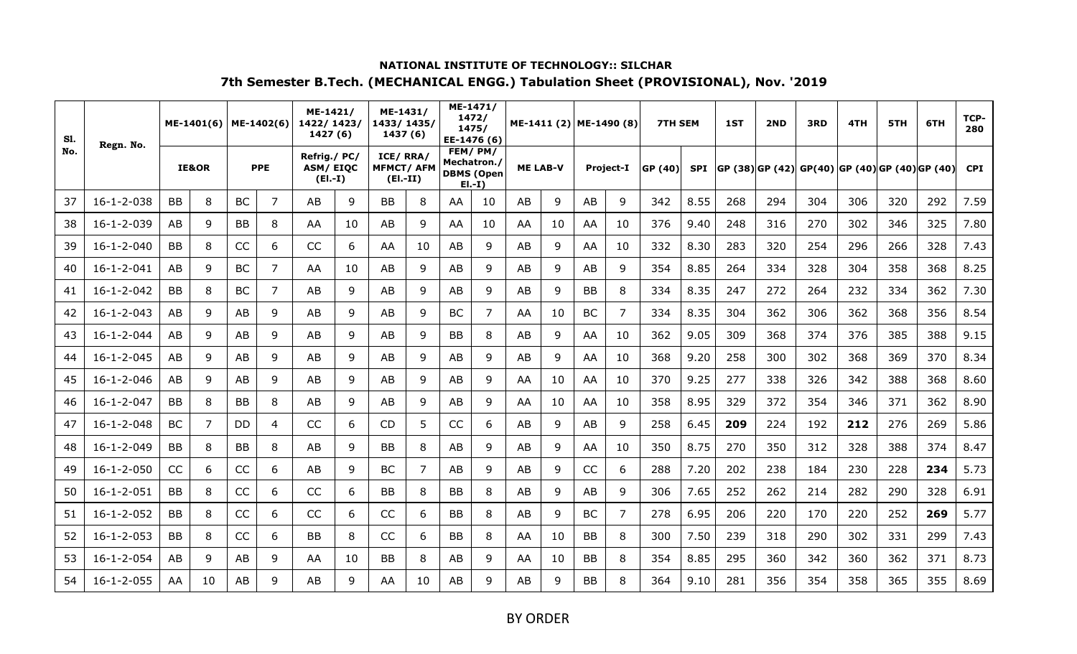| S1. | Regn. No.          |           | ME-1401(6)       |           | ME-1402(6) | ME-1421/<br>1422/1423/<br>1427 (6)          |    | ME-1431/<br>1433/1435/<br>1437 (6)          |    |             | ME-1471/<br>1472/<br>1475/<br>EE-1476 (6) |                 | ME-1411 (2) ME-1490 (8) |           |                  | <b>7TH SEM</b> |      | 1ST | 2ND | 3RD                                            | 4TH | 5TH | 6TH | TCP-<br>280 |
|-----|--------------------|-----------|------------------|-----------|------------|---------------------------------------------|----|---------------------------------------------|----|-------------|-------------------------------------------|-----------------|-------------------------|-----------|------------------|----------------|------|-----|-----|------------------------------------------------|-----|-----|-----|-------------|
| No. |                    |           | <b>IE&amp;OR</b> |           | <b>PPE</b> | Refrig./PC/<br><b>ASM/EIQC</b><br>$(EI.-I)$ |    | ICE/RRA/<br><b>MFMCT/ AFM</b><br>$(EI.-II)$ |    | Mechatron./ | FEM/PM/<br><b>DBMS (Open</b><br>$E[-I]$   | <b>ME LAB-V</b> |                         |           | <b>Project-I</b> | GP (40)        | SPI  |     |     | GP (38) GP (42) GP(40) GP (40) GP (40) GP (40) |     |     |     | <b>CPI</b>  |
| 37  | $16 - 1 - 2 - 038$ | <b>BB</b> | 8                | <b>BC</b> | 7          | AB                                          | 9  | <b>BB</b>                                   | 8  | AA.         | 10                                        | AB              | 9                       | AB        | 9                | 342            | 8.55 | 268 | 294 | 304                                            | 306 | 320 | 292 | 7.59        |
| 38  | 16-1-2-039         | AB        | 9                | BB        | 8          | AA                                          | 10 | AB                                          | 9  | AA          | 10                                        | AA              | 10                      | AA        | 10               | 376            | 9.40 | 248 | 316 | 270                                            | 302 | 346 | 325 | 7.80        |
| 39  | $16 - 1 - 2 - 040$ | <b>BB</b> | 8                | CC        | 6          | CC                                          | 6  | AA                                          | 10 | AB          | 9                                         | AB              | 9                       | AA        | 10               | 332            | 8.30 | 283 | 320 | 254                                            | 296 | 266 | 328 | 7.43        |
| 40  | $16 - 1 - 2 - 041$ | AB        | 9                | <b>BC</b> | 7          | AA                                          | 10 | AB                                          | 9  | AB          | 9                                         | AB              | 9                       | AB        | 9                | 354            | 8.85 | 264 | 334 | 328                                            | 304 | 358 | 368 | 8.25        |
| 41  | $16 - 1 - 2 - 042$ | <b>BB</b> | 8                | <b>BC</b> | 7          | AB                                          | 9  | AB                                          | 9  | AB          | 9                                         | AB              | 9                       | <b>BB</b> | 8                | 334            | 8.35 | 247 | 272 | 264                                            | 232 | 334 | 362 | 7.30        |
| 42  | $16 - 1 - 2 - 043$ | AB        | 9                | AB        | 9          | AB                                          | 9  | AB                                          | 9  | BС          | 7                                         | AA              | 10                      | <b>BC</b> | 7                | 334            | 8.35 | 304 | 362 | 306                                            | 362 | 368 | 356 | 8.54        |
| 43  | $16 - 1 - 2 - 044$ | AB        | 9                | AB        | 9          | AB                                          | 9  | AB                                          | 9  | BB          | 8                                         | AB              | 9                       | AA        | 10               | 362            | 9.05 | 309 | 368 | 374                                            | 376 | 385 | 388 | 9.15        |
| 44  | $16 - 1 - 2 - 045$ | AB        | 9                | AB        | 9          | AB                                          | 9  | AB                                          | 9  | AB          | 9                                         | AB              | 9                       | AA        | 10               | 368            | 9.20 | 258 | 300 | 302                                            | 368 | 369 | 370 | 8.34        |
| 45  | $16 - 1 - 2 - 046$ | AB        | 9                | AB        | 9          | AB                                          | 9  | AB                                          | 9  | AB          | 9                                         | AA              | 10                      | AA        | 10               | 370            | 9.25 | 277 | 338 | 326                                            | 342 | 388 | 368 | 8.60        |
| 46  | $16 - 1 - 2 - 047$ | <b>BB</b> | 8                | <b>BB</b> | 8          | AB                                          | 9  | AB                                          | 9  | AB          | 9                                         | AA              | 10                      | AA        | 10               | 358            | 8.95 | 329 | 372 | 354                                            | 346 | 371 | 362 | 8.90        |
| 47  | $16 - 1 - 2 - 048$ | BC        | 7                | <b>DD</b> | 4          | <b>CC</b>                                   | 6  | <b>CD</b>                                   | 5  | CC          | 6                                         | AB              | 9                       | AB        | 9                | 258            | 6.45 | 209 | 224 | 192                                            | 212 | 276 | 269 | 5.86        |
| 48  | $16 - 1 - 2 - 049$ | <b>BB</b> | 8                | BB        | 8          | AB                                          | 9  | <b>BB</b>                                   | 8  | AB          | 9                                         | AB              | 9                       | AA        | 10               | 350            | 8.75 | 270 | 350 | 312                                            | 328 | 388 | 374 | 8.47        |
| 49  | $16 - 1 - 2 - 050$ | CC        | 6                | CC        | 6          | AB                                          | 9  | <b>BC</b>                                   | 7  | AB          | 9                                         | AB              | 9                       | CC        | 6                | 288            | 7.20 | 202 | 238 | 184                                            | 230 | 228 | 234 | 5.73        |
| 50  | $16 - 1 - 2 - 051$ | <b>BB</b> | 8                | CC        | 6          | CC                                          | 6  | <b>BB</b>                                   | 8  | BB          | 8                                         | AB              | 9                       | AB        | 9                | 306            | 7.65 | 252 | 262 | 214                                            | 282 | 290 | 328 | 6.91        |
| 51  | $16 - 1 - 2 - 052$ | <b>BB</b> | 8                | CC        | 6          | CC                                          | 6  | CC                                          | 6  | BB          | 8                                         | AB              | 9                       | <b>BC</b> | 7                | 278            | 6.95 | 206 | 220 | 170                                            | 220 | 252 | 269 | 5.77        |
| 52  | $16 - 1 - 2 - 053$ | BB        | 8                | CC        | 6          | <b>BB</b>                                   | 8  | CC                                          | 6  | BB          | 8                                         | AA              | 10                      | BB        | 8                | 300            | 7.50 | 239 | 318 | 290                                            | 302 | 331 | 299 | 7.43        |
| 53  | $16 - 1 - 2 - 054$ | AB        | 9                | AB        | 9          | AA                                          | 10 | BB                                          | 8  | AB          | 9                                         | AA              | 10                      | <b>BB</b> | 8                | 354            | 8.85 | 295 | 360 | 342                                            | 360 | 362 | 371 | 8.73        |
| 54  | $16 - 1 - 2 - 055$ | AA        | 10               | AB        | 9          | AB                                          | 9  | AA                                          | 10 | AB          | q                                         | AB              | 9                       | ΒB        | 8                | 364            | 9.10 | 281 | 356 | 354                                            | 358 | 365 | 355 | 8.69        |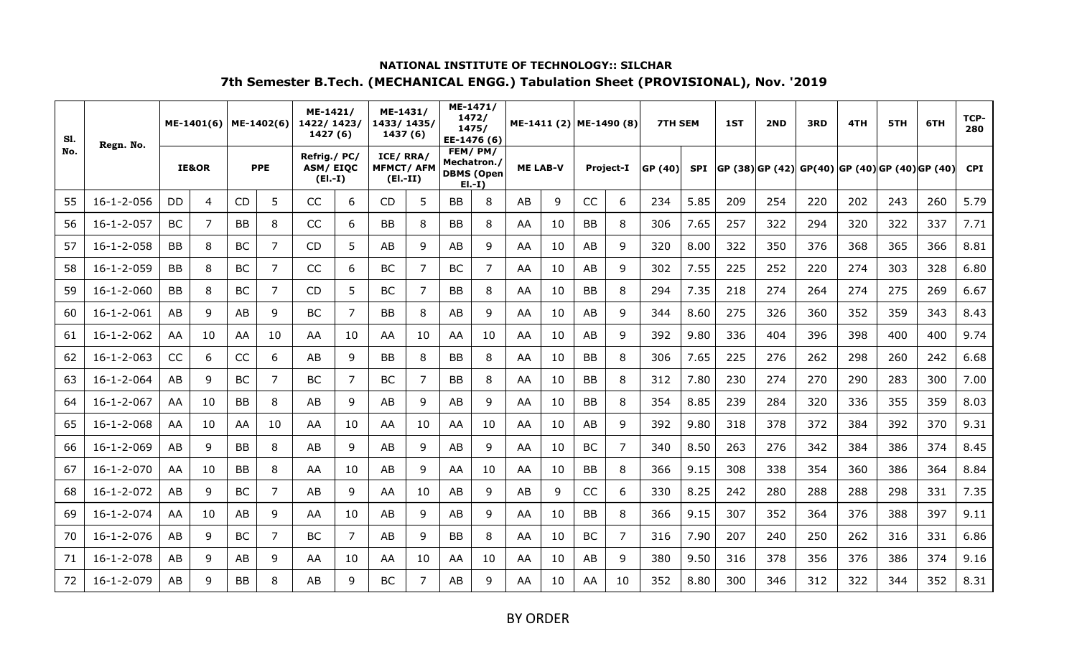| S1. | Regn. No.          |           | ME-1401(6)       |           | ME-1402(6) | ME-1421/<br>1422/1423/<br>1427 (6)           |    | ME-1431/<br>1433/1435/<br>1437 (6)         |                |           | ME-1471/<br>1472/<br>1475/<br>EE-1476 (6)              |    | ME-1411 (2) ME-1490 (8) |           |                  | <b>7TH SEM</b> |            | 1ST | 2ND                                                | 3RD | 4TH | 5TH | 6TH | TCP-<br>280 |
|-----|--------------------|-----------|------------------|-----------|------------|----------------------------------------------|----|--------------------------------------------|----------------|-----------|--------------------------------------------------------|----|-------------------------|-----------|------------------|----------------|------------|-----|----------------------------------------------------|-----|-----|-----|-----|-------------|
| No. |                    |           | <b>IE&amp;OR</b> |           | <b>PPE</b> | Refrig./ PC/<br><b>ASM/EIOC</b><br>$(EI.-I)$ |    | ICE/RRA/<br><b>MFMCT/AFM</b><br>$(EI.-II)$ |                |           | FEM/PM/<br>Mechatron./<br><b>DBMS (Open</b><br>$E[-I]$ |    | <b>ME LAB-V</b>         |           | <b>Project-I</b> | GP (40)        | <b>SPI</b> |     | $ GP (38) GP (42) GP(40) GP (40) GP (40) GP (40) $ |     |     |     |     | <b>CPI</b>  |
| 55  | $16 - 1 - 2 - 056$ | DD        | 4                | <b>CD</b> | 5          | CC                                           | 6  | <b>CD</b>                                  | 5              | <b>BB</b> | 8                                                      | AB | 9                       | CC        | 6                | 234            | 5.85       | 209 | 254                                                | 220 | 202 | 243 | 260 | 5.79        |
| 56  | $16 - 1 - 2 - 057$ | BC        | $\overline{7}$   | <b>BB</b> | 8          | CC                                           | 6  | <b>BB</b>                                  | 8              | ВB        | 8                                                      | AA | 10                      | <b>BB</b> | 8                | 306            | 7.65       | 257 | 322                                                | 294 | 320 | 322 | 337 | 7.71        |
| 57  | $16 - 1 - 2 - 058$ | <b>BB</b> | 8                | <b>BC</b> | 7          | <b>CD</b>                                    | 5  | AB                                         | 9              | AB        | 9                                                      | AA | 10                      | AB        | 9                | 320            | 8.00       | 322 | 350                                                | 376 | 368 | 365 | 366 | 8.81        |
| 58  | $16 - 1 - 2 - 059$ | <b>BB</b> | 8                | <b>BC</b> | 7          | CC                                           | 6  | BC                                         | $\overline{7}$ | <b>BC</b> | 7                                                      | AA | 10                      | AB        | 9                | 302            | 7.55       | 225 | 252                                                | 220 | 274 | 303 | 328 | 6.80        |
| 59  | $16 - 1 - 2 - 060$ | <b>BB</b> | 8                | BC.       | 7          | CD                                           | 5  | <b>BC</b>                                  | 7              | <b>BB</b> | 8                                                      | AA | 10                      | <b>BB</b> | 8                | 294            | 7.35       | 218 | 274                                                | 264 | 274 | 275 | 269 | 6.67        |
| 60  | $16 - 1 - 2 - 061$ | AB        | 9                | AB        | 9          | <b>BC</b>                                    | 7  | <b>BB</b>                                  | 8              | AB        | 9                                                      | AA | 10                      | AB        | 9                | 344            | 8.60       | 275 | 326                                                | 360 | 352 | 359 | 343 | 8.43        |
| 61  | $16 - 1 - 2 - 062$ | AA        | 10               | AA        | 10         | AA                                           | 10 | AA                                         | 10             | AA        | 10                                                     | AA | 10                      | AB        | 9                | 392            | 9.80       | 336 | 404                                                | 396 | 398 | 400 | 400 | 9.74        |
| 62  | $16 - 1 - 2 - 063$ | CC        | 6                | CC        | 6          | AB                                           | 9  | <b>BB</b>                                  | 8              | BB        | 8                                                      | AA | 10                      | <b>BB</b> | 8                | 306            | 7.65       | 225 | 276                                                | 262 | 298 | 260 | 242 | 6.68        |
| 63  | $16 - 1 - 2 - 064$ | AB        | 9                | <b>BC</b> | 7          | <b>BC</b>                                    | 7  | <b>BC</b>                                  | 7              | BB        | 8                                                      | AA | 10                      | <b>BB</b> | 8                | 312            | 7.80       | 230 | 274                                                | 270 | 290 | 283 | 300 | 7.00        |
| 64  | $16 - 1 - 2 - 067$ | AA        | 10               | <b>BB</b> | 8          | AB                                           | 9  | AB                                         | 9              | AB        | 9                                                      | AA | 10                      | <b>BB</b> | 8                | 354            | 8.85       | 239 | 284                                                | 320 | 336 | 355 | 359 | 8.03        |
| 65  | $16 - 1 - 2 - 068$ | AA        | 10               | AA        | 10         | AA                                           | 10 | AA                                         | 10             | AA        | 10                                                     | AA | 10                      | AB        | 9                | 392            | 9.80       | 318 | 378                                                | 372 | 384 | 392 | 370 | 9.31        |
| 66  | $16 - 1 - 2 - 069$ | AB        | 9                | <b>BB</b> | 8          | AB                                           | 9  | AB                                         | 9              | AB        | 9                                                      | AA | 10                      | <b>BC</b> | $\overline{7}$   | 340            | 8.50       | 263 | 276                                                | 342 | 384 | 386 | 374 | 8.45        |
| 67  | $16 - 1 - 2 - 070$ | AA        | 10               | <b>BB</b> | 8          | AA                                           | 10 | AB                                         | 9              | AA        | 10                                                     | AA | 10                      | <b>BB</b> | 8                | 366            | 9.15       | 308 | 338                                                | 354 | 360 | 386 | 364 | 8.84        |
| 68  | $16 - 1 - 2 - 072$ | AB        | 9                | <b>BC</b> | 7          | AB                                           | 9  | AA                                         | 10             | AB        | 9                                                      | AB | 9                       | CC        | 6                | 330            | 8.25       | 242 | 280                                                | 288 | 288 | 298 | 331 | 7.35        |
| 69  | $16 - 1 - 2 - 074$ | AA        | 10               | AB        | 9          | AA                                           | 10 | AB                                         | 9              | AB        | 9                                                      | AA | 10                      | <b>BB</b> | 8                | 366            | 9.15       | 307 | 352                                                | 364 | 376 | 388 | 397 | 9.11        |
| 70  | $16 - 1 - 2 - 076$ | AB        | 9                | <b>BC</b> | 7          | <b>BC</b>                                    | 7  | AB                                         | 9              | ΒB        | 8                                                      | AA | 10                      | BC        | $\overline{7}$   | 316            | 7.90       | 207 | 240                                                | 250 | 262 | 316 | 331 | 6.86        |
| 71  | $16 - 1 - 2 - 078$ | AB        | 9                | AB        | 9          | AA                                           | 10 | AA                                         | 10             | AA        | 10                                                     | AA | 10                      | AB        | 9                | 380            | 9.50       | 316 | 378                                                | 356 | 376 | 386 | 374 | 9.16        |
| 72  | $16 - 1 - 2 - 079$ | AB        | 9                | <b>BB</b> | 8          | AB                                           | q  | <b>BC</b>                                  | 7              | AB        | 9                                                      | AA | 10                      | AA        | 10               | 352            | 8.80       | 300 | 346                                                | 312 | 322 | 344 | 352 | 8.31        |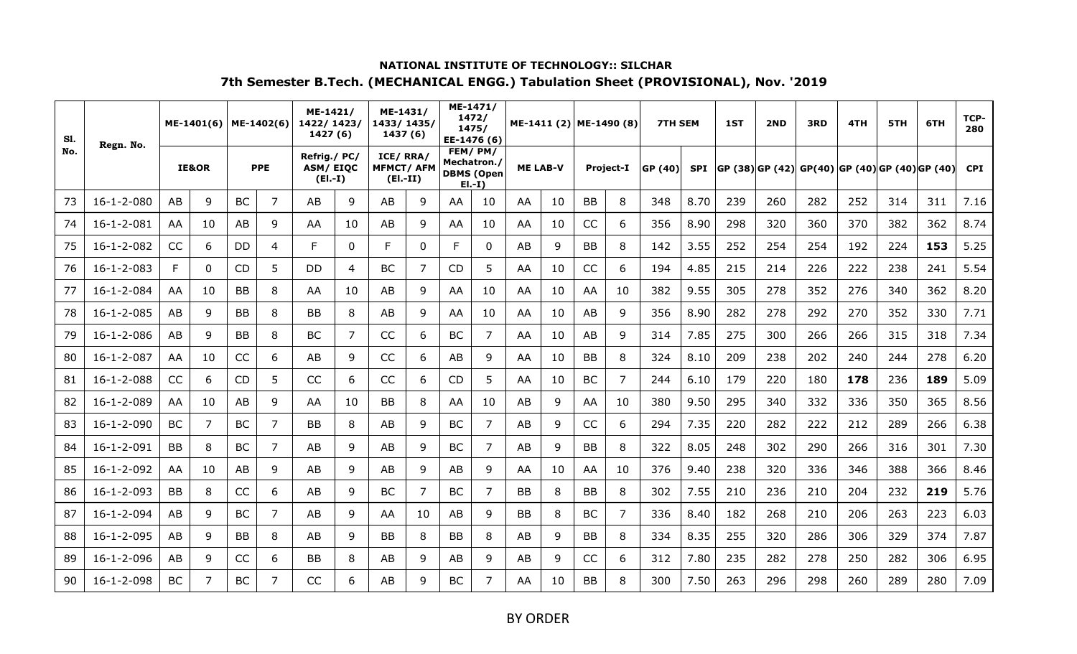| S1. | Regn. No.          |           | ME-1401(6) |           | ME-1402(6) | ME-1421/<br>1422/1423/<br>1427 (6)          |    | ME-1431/<br>1433/1435/<br>1437 (6)         |          |           | ME-1471/<br>1472/<br>1475/<br>EE-1476 (6)              |           | ME-1411 (2) ME-1490 (8) |           |                  | <b>7TH SEM</b> |            | 1ST | 2ND                                                | 3RD | 4TH | 5TH | 6TH | TCP-<br>280 |
|-----|--------------------|-----------|------------|-----------|------------|---------------------------------------------|----|--------------------------------------------|----------|-----------|--------------------------------------------------------|-----------|-------------------------|-----------|------------------|----------------|------------|-----|----------------------------------------------------|-----|-----|-----|-----|-------------|
| No. |                    |           | IE&OR      |           | <b>PPE</b> | Refrig./PC/<br><b>ASM/EIQC</b><br>$(EI.-I)$ |    | ICE/RRA/<br><b>MFMCT/AFM</b><br>$(EI.-II)$ |          |           | FEM/PM/<br>Mechatron./<br><b>DBMS (Open</b><br>$E[-I]$ |           | <b>ME LAB-V</b>         |           | <b>Project-I</b> | GP (40)        | <b>SPI</b> |     | $ GP (38) GP (42) GP(40) GP (40) GP (40) GP (40) $ |     |     |     |     | <b>CPI</b>  |
| 73  | $16 - 1 - 2 - 080$ | AB        | 9          | <b>BC</b> | 7          | AB                                          | 9  | AB                                         | 9        | AA        | 10                                                     | AA        | 10                      | BB        | 8                | 348            | 8.70       | 239 | 260                                                | 282 | 252 | 314 | 311 | 7.16        |
| 74  | $16 - 1 - 2 - 081$ | AA        | 10         | AB        | 9          | AA                                          | 10 | AB                                         | 9        | AA        | 10                                                     | AA        | 10                      | CC        | 6                | 356            | 8.90       | 298 | 320                                                | 360 | 370 | 382 | 362 | 8.74        |
| 75  | $16 - 1 - 2 - 082$ | CC        | 6          | <b>DD</b> | 4          | F                                           | 0  | F                                          | $\Omega$ | F.        | $\mathbf{0}$                                           | AB        | 9                       | <b>BB</b> | 8                | 142            | 3.55       | 252 | 254                                                | 254 | 192 | 224 | 153 | 5.25        |
| 76  | $16 - 1 - 2 - 083$ | F         | 0          | <b>CD</b> | 5          | <b>DD</b>                                   | 4  | <b>BC</b>                                  | 7        | <b>CD</b> | 5                                                      | AA        | 10                      | CC        | 6                | 194            | 4.85       | 215 | 214                                                | 226 | 222 | 238 | 241 | 5.54        |
| 77  | $16 - 1 - 2 - 084$ | AA        | 10         | <b>BB</b> | 8          | AA                                          | 10 | AB                                         | 9        | AA        | 10                                                     | AA        | 10                      | AA        | 10               | 382            | 9.55       | 305 | 278                                                | 352 | 276 | 340 | 362 | 8.20        |
| 78  | $16 - 1 - 2 - 085$ | AB        | 9          | <b>BB</b> | 8          | <b>BB</b>                                   | 8  | AB                                         | 9        | AA        | 10                                                     | AA        | 10                      | AB        | 9                | 356            | 8.90       | 282 | 278                                                | 292 | 270 | 352 | 330 | 7.71        |
| 79  | $16 - 1 - 2 - 086$ | AB        | 9          | <b>BB</b> | 8          | BC                                          | 7  | CC                                         | 6        | ВC        | 7                                                      | AA        | 10                      | AB        | 9                | 314            | 7.85       | 275 | 300                                                | 266 | 266 | 315 | 318 | 7.34        |
| 80  | $16 - 1 - 2 - 087$ | AA        | 10         | CC        | 6          | AB                                          | 9  | CC                                         | 6        | AB        | 9                                                      | AA        | 10                      | <b>BB</b> | 8                | 324            | 8.10       | 209 | 238                                                | 202 | 240 | 244 | 278 | 6.20        |
| 81  | $16 - 1 - 2 - 088$ | CC        | 6          | <b>CD</b> | 5          | CC                                          | 6  | CC                                         | 6        | <b>CD</b> | 5                                                      | AA        | 10                      | <b>BC</b> | $\overline{7}$   | 244            | 6.10       | 179 | 220                                                | 180 | 178 | 236 | 189 | 5.09        |
| 82  | $16 - 1 - 2 - 089$ | AA        | 10         | AB        | 9          | AA                                          | 10 | <b>BB</b>                                  | 8        | AA        | 10                                                     | AB        | 9                       | AA        | 10               | 380            | 9.50       | 295 | 340                                                | 332 | 336 | 350 | 365 | 8.56        |
| 83  | $16 - 1 - 2 - 090$ | BC        | 7          | <b>BC</b> | 7          | <b>BB</b>                                   | 8  | AB                                         | 9        | BC        | 7                                                      | AB        | 9                       | CC        | 6                | 294            | 7.35       | 220 | 282                                                | 222 | 212 | 289 | 266 | 6.38        |
| 84  | $16 - 1 - 2 - 091$ | <b>BB</b> | 8          | <b>BC</b> | 7          | AB                                          | 9  | AB                                         | 9        | <b>BC</b> | 7                                                      | AB        | 9                       | <b>BB</b> | 8                | 322            | 8.05       | 248 | 302                                                | 290 | 266 | 316 | 301 | 7.30        |
| 85  | $16 - 1 - 2 - 092$ | AA        | 10         | AB        | 9          | AB                                          | 9  | AB                                         | 9        | AB        | 9                                                      | AA        | 10                      | AA        | 10               | 376            | 9.40       | 238 | 320                                                | 336 | 346 | 388 | 366 | 8.46        |
| 86  | $16 - 1 - 2 - 093$ | <b>BB</b> | 8          | CC        | 6          | AB                                          | 9  | <b>BC</b>                                  | 7        | <b>BC</b> | 7                                                      | <b>BB</b> | 8                       | BB        | 8                | 302            | 7.55       | 210 | 236                                                | 210 | 204 | 232 | 219 | 5.76        |
| 87  | $16 - 1 - 2 - 094$ | AB        | 9          | <b>BC</b> | 7          | AB                                          | 9  | AA                                         | 10       | AB        | 9                                                      | <b>BB</b> | 8                       | <b>BC</b> | $\overline{7}$   | 336            | 8.40       | 182 | 268                                                | 210 | 206 | 263 | 223 | 6.03        |
| 88  | $16 - 1 - 2 - 095$ | AB        | 9          | <b>BB</b> | 8          | AB                                          | 9  | <b>BB</b>                                  | 8        | ΒB        | 8                                                      | AB        | 9                       | BB        | 8                | 334            | 8.35       | 255 | 320                                                | 286 | 306 | 329 | 374 | 7.87        |
| 89  | $16 - 1 - 2 - 096$ | AB        | 9          | CC        | 6          | <b>BB</b>                                   | 8  | AB                                         | 9        | AB        | 9                                                      | AB        | 9                       | CC        | 6                | 312            | 7.80       | 235 | 282                                                | 278 | 250 | 282 | 306 | 6.95        |
| 90  | $16 - 1 - 2 - 098$ | <b>BC</b> | 7          | BC        |            | CC                                          | 6  | AB                                         | 9        | ВC        | 7                                                      | AA        | 10                      | <b>BB</b> | 8                | 300            | 7.50       | 263 | 296                                                | 298 | 260 | 289 | 280 | 7.09        |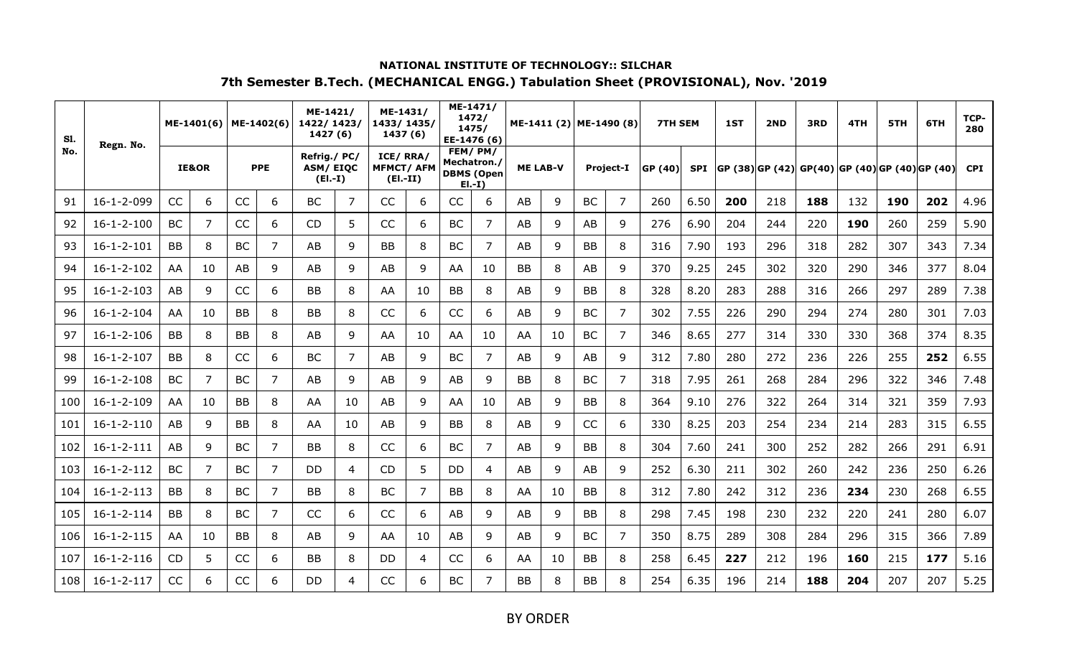| S1. | Regn. No.          |           | ME-1401(6) |           | ME-1402(6) | ME-1421/<br>1422/1423/<br>1427 (6)          |    | ME-1431/<br>1433/1435/<br>1437(6)          |    |             | ME-1471/<br>1472/<br>1475/<br>EE-1476 (6) |                 | ME-1411 (2) ME-1490 (8) |           |                  | <b>7TH SEM</b> |            | 1ST | 2ND | 3RD                                            | 4TH | 5TH | 6TH | TCP-<br>280 |
|-----|--------------------|-----------|------------|-----------|------------|---------------------------------------------|----|--------------------------------------------|----|-------------|-------------------------------------------|-----------------|-------------------------|-----------|------------------|----------------|------------|-----|-----|------------------------------------------------|-----|-----|-----|-------------|
| No. |                    |           | IE&OR      |           | <b>PPE</b> | Refrig./PC/<br><b>ASM/EIQC</b><br>$(EI.-I)$ |    | ICE/RRA/<br><b>MFMCT/AFM</b><br>$(EI.-II)$ |    | Mechatron./ | FEM/PM/<br><b>DBMS (Open</b><br>$E[-I]$   | <b>ME LAB-V</b> |                         |           | <b>Project-I</b> | GP (40)        | <b>SPI</b> |     |     | GP (38) GP (42) GP(40) GP (40) GP (40) GP (40) |     |     |     | <b>CPI</b>  |
| 91  | 16-1-2-099         | CC        | 6          | CC        | 6          | <b>BC</b>                                   | 7  | CC                                         | 6  | CC          | 6                                         | AB              | 9                       | <b>BC</b> | 7                | 260            | 6.50       | 200 | 218 | 188                                            | 132 | 190 | 202 | 4.96        |
| 92  | $16 - 1 - 2 - 100$ | <b>BC</b> | 7          | CC        | 6          | <b>CD</b>                                   | 5  | CC                                         | 6  | <b>BC</b>   | 7                                         | AB              | 9                       | AB        | 9                | 276            | 6.90       | 204 | 244 | 220                                            | 190 | 260 | 259 | 5.90        |
| 93  | $16 - 1 - 2 - 101$ | <b>BB</b> | 8          | <b>BC</b> | 7          | AB                                          | 9  | <b>BB</b>                                  | 8  | <b>BC</b>   | 7                                         | AB              | 9                       | <b>BB</b> | 8                | 316            | 7.90       | 193 | 296 | 318                                            | 282 | 307 | 343 | 7.34        |
| 94  | $16 - 1 - 2 - 102$ | AA        | 10         | AB        | 9          | AB                                          | 9  | AB                                         | 9  | AA          | 10                                        | BB              | 8                       | AB        | 9                | 370            | 9.25       | 245 | 302 | 320                                            | 290 | 346 | 377 | 8.04        |
| 95  | $16 - 1 - 2 - 103$ | AB        | 9          | CC        | 6          | <b>BB</b>                                   | 8  | AA                                         | 10 | BB          | 8                                         | AB              | 9                       | <b>BB</b> | 8                | 328            | 8.20       | 283 | 288 | 316                                            | 266 | 297 | 289 | 7.38        |
| 96  | $16 - 1 - 2 - 104$ | AA        | 10         | <b>BB</b> | 8          | BB                                          | 8  | CC                                         | 6  | CC          | 6                                         | AB              | 9                       | BC        | 7                | 302            | 7.55       | 226 | 290 | 294                                            | 274 | 280 | 301 | 7.03        |
| 97  | $16 - 1 - 2 - 106$ | <b>BB</b> | 8          | <b>BB</b> | 8          | AB                                          | 9  | AA                                         | 10 | AA.         | 10                                        | AA              | 10                      | BC        | 7                | 346            | 8.65       | 277 | 314 | 330                                            | 330 | 368 | 374 | 8.35        |
| 98  | $16 - 1 - 2 - 107$ | <b>BB</b> | 8          | CC        | 6          | <b>BC</b>                                   | 7  | AB                                         | 9  | <b>BC</b>   | 7                                         | AB              | 9                       | AB        | 9                | 312            | 7.80       | 280 | 272 | 236                                            | 226 | 255 | 252 | 6.55        |
| 99  | $16 - 1 - 2 - 108$ | <b>BC</b> | 7          | <b>BC</b> | 7          | AB                                          | 9  | AB                                         | 9  | AB          | 9                                         | BB              | 8                       | <b>BC</b> | 7                | 318            | 7.95       | 261 | 268 | 284                                            | 296 | 322 | 346 | 7.48        |
| 100 | $16 - 1 - 2 - 109$ | AA        | 10         | <b>BB</b> | 8          | AA                                          | 10 | AB                                         | 9  | AA.         | 10                                        | AB              | 9                       | <b>BB</b> | 8                | 364            | 9.10       | 276 | 322 | 264                                            | 314 | 321 | 359 | 7.93        |
| 101 | $16 - 1 - 2 - 110$ | AB        | 9          | BB        | 8          | AA                                          | 10 | AB                                         | 9  | BB          | 8                                         | AB              | 9                       | CC        | 6                | 330            | 8.25       | 203 | 254 | 234                                            | 214 | 283 | 315 | 6.55        |
| 102 | $16 - 1 - 2 - 111$ | AB        | 9          | <b>BC</b> | 7          | <b>BB</b>                                   | 8  | CC                                         | 6  | <b>BC</b>   | 7                                         | AB              | 9                       | <b>BB</b> | 8                | 304            | 7.60       | 241 | 300 | 252                                            | 282 | 266 | 291 | 6.91        |
| 103 | $16 - 1 - 2 - 112$ | BC        | 7          | <b>BC</b> | 7          | <b>DD</b>                                   | 4  | <b>CD</b>                                  | 5  | DD.         | 4                                         | AB              | 9                       | AB        | 9                | 252            | 6.30       | 211 | 302 | 260                                            | 242 | 236 | 250 | 6.26        |
| 104 | $16 - 1 - 2 - 113$ | <b>BB</b> | 8          | <b>BC</b> | 7          | <b>BB</b>                                   | 8  | <b>BC</b>                                  | 7  | <b>BB</b>   | 8                                         | AA              | 10                      | <b>BB</b> | 8                | 312            | 7.80       | 242 | 312 | 236                                            | 234 | 230 | 268 | 6.55        |
| 105 | $16 - 1 - 2 - 114$ | <b>BB</b> | 8          | <b>BC</b> | 7          | CC                                          | 6  | CC                                         | 6  | AB          | 9                                         | AB              | 9                       | <b>BB</b> | 8                | 298            | 7.45       | 198 | 230 | 232                                            | 220 | 241 | 280 | 6.07        |
| 106 | $16 - 1 - 2 - 115$ | AA        | 10         | <b>BB</b> | 8          | AB                                          | 9  | AA                                         | 10 | AB          | 9                                         | AB              | 9                       | <b>BC</b> | 7                | 350            | 8.75       | 289 | 308 | 284                                            | 296 | 315 | 366 | 7.89        |
| 107 | $16 - 1 - 2 - 116$ | CD        | 5          | CC        | 6          | <b>BB</b>                                   | 8  | DD                                         | 4  | CC          | 6                                         | AA              | 10                      | <b>BB</b> | 8                | 258            | 6.45       | 227 | 212 | 196                                            | 160 | 215 | 177 | 5.16        |
| 108 | $16 - 1 - 2 - 117$ | CC        | 6          | <b>CC</b> | 6          | <b>DD</b>                                   | 4  | CC                                         | 6  | BС          |                                           | BB              | 8                       | ΒB        | 8                | 254            | 6.35       | 196 | 214 | 188                                            | 204 | 207 | 207 | 5.25        |